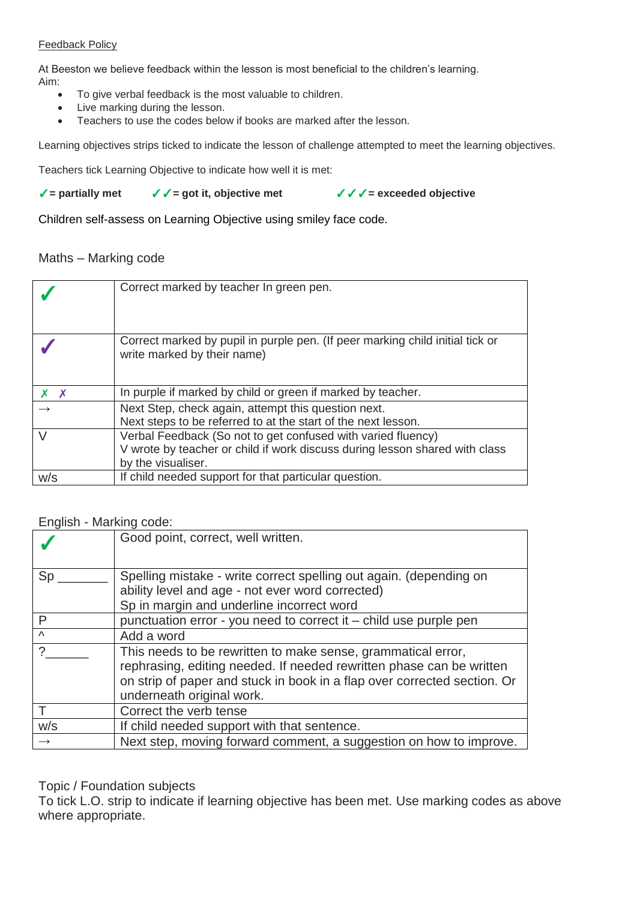#### Feedback Policy

At Beeston we believe feedback within the lesson is most beneficial to the children's learning. Aim:

- To give verbal feedback is the most valuable to children.
- Live marking during the lesson.
- Teachers to use the codes below if books are marked after the lesson.

Learning objectives strips ticked to indicate the lesson of challenge attempted to meet the learning objectives.

Teachers tick Learning Objective to indicate how well it is met:

✓**= partially met** ✓✓**= got it, objective met** ✓✓✓**= exceeded objective**

Children self-assess on Learning Objective using smiley face code.

### Maths – Marking code

|         | Correct marked by teacher In green pen.                                                                      |
|---------|--------------------------------------------------------------------------------------------------------------|
|         | Correct marked by pupil in purple pen. (If peer marking child initial tick or<br>write marked by their name) |
| $X$ $X$ | In purple if marked by child or green if marked by teacher.                                                  |
|         | Next Step, check again, attempt this question next.                                                          |
|         | Next steps to be referred to at the start of the next lesson.                                                |
| $\vee$  | Verbal Feedback (So not to get confused with varied fluency)                                                 |
|         | V wrote by teacher or child if work discuss during lesson shared with class                                  |
|         | by the visualiser.                                                                                           |
| W/S     | If child needed support for that particular question.                                                        |

### English - Marking code:

|               | Good point, correct, well written.                                                                                                                                                                                                            |
|---------------|-----------------------------------------------------------------------------------------------------------------------------------------------------------------------------------------------------------------------------------------------|
| Sp            | Spelling mistake - write correct spelling out again. (depending on                                                                                                                                                                            |
|               | ability level and age - not ever word corrected)                                                                                                                                                                                              |
|               | Sp in margin and underline incorrect word                                                                                                                                                                                                     |
| P             | punctuation error - you need to correct it - child use purple pen                                                                                                                                                                             |
| $\wedge$      | Add a word                                                                                                                                                                                                                                    |
|               | This needs to be rewritten to make sense, grammatical error,<br>rephrasing, editing needed. If needed rewritten phase can be written<br>on strip of paper and stuck in book in a flap over corrected section. Or<br>underneath original work. |
|               | Correct the verb tense                                                                                                                                                                                                                        |
| W/S           | If child needed support with that sentence.                                                                                                                                                                                                   |
| $\rightarrow$ | Next step, moving forward comment, a suggestion on how to improve.                                                                                                                                                                            |

### Topic / Foundation subjects

To tick L.O. strip to indicate if learning objective has been met. Use marking codes as above where appropriate.